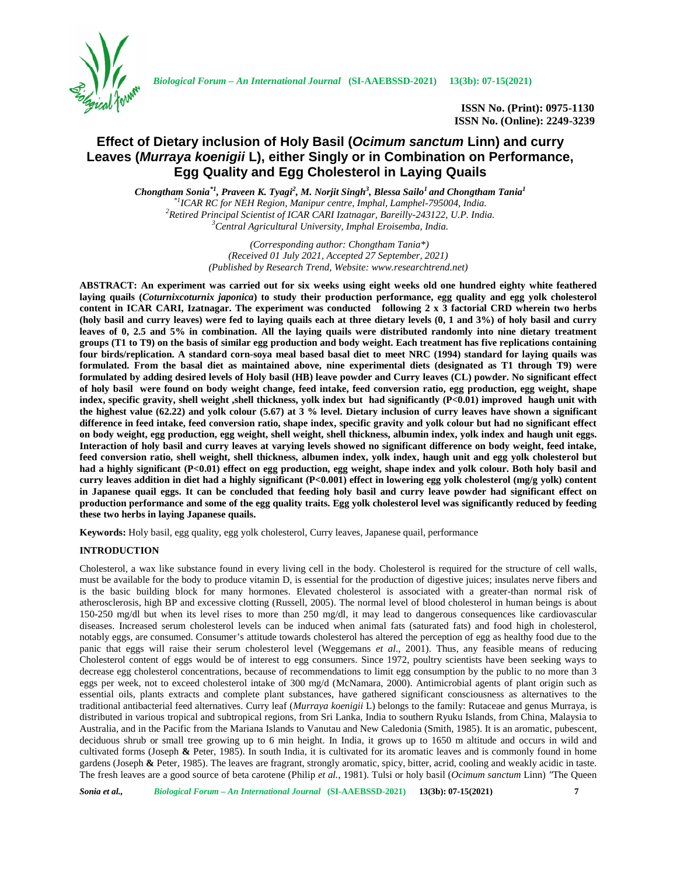

*Biological Forum – An International Journal* **(SI-AAEBSSD-2021) 13(3b): 07-15(2021)**

**ISSN No. (Print): 0975-1130 ISSN No. (Online): 2249-3239**

# **Effect of Dietary inclusion of Holy Basil (***Ocimum sanctum* **Linn) and curry Leaves (***Murraya koenigii* **L), either Singly or in Combination on Performance, Egg Quality and Egg Cholesterol in Laying Quails**

*Chongtham Sonia\*1, Praveen K. Tyagi<sup>2</sup> , M. Norjit Singh<sup>3</sup> , Blessa Sailo<sup>1</sup> and Chongtham Tania<sup>1</sup>* <sup>\*</sup><sup>1</sup>ICAR RC for NEH Region, Manipur centre, Imphal, Lamphel-795004, India.<br><sup>2</sup>Retired Principal Scientist of ICAR CARI Izatnagar, Bareilly-243122, U.P. India.<br><sup>3</sup>Central Agricultural University, Imphal Eroisemba, India.

> *(Corresponding author: Chongtham Tania\*) (Received 01 July 2021, Accepted 27 September, 2021) (Published by Research Trend, Website: <www.researchtrend.net>)*

**ABSTRACT: An experiment was carried out for six weeks using eight weeks old one hundred eighty white feathered laying quails (***Coturnixcoturnix japonica***) to study their production performance, egg quality and egg yolk cholesterol content in ICAR CARI, Izatnagar. The experiment was conducted following 2 x 3 factorial CRD wherein two herbs (holy basil and curry leaves) were fed to laying quails each at three dietary levels (0, 1 and 3%) of holy basil and curry leaves of 0, 2.5 and 5% in combination. All the laying quails were distributed randomly into nine dietary treatment groups (T1 to T9) on the basis of similar egg production and body weight. Each treatment has five replications containing four birds/replication. A standard corn-soya meal based basal diet to meet NRC (1994) standard for laying quails was formulated. From the basal diet as maintained above, nine experimental diets (designated as T1 through T9) were formulated by adding desired levels of Holy basil (HB) leave powder and Curry leaves (CL) powder. No significant effect of holy basil were found on body weight change, feed intake, feed conversion ratio, egg production, egg weight, shape index, specific gravity, shell weight ,shell thickness, yolk index but had significantly (P<0.01) improved haugh unit with the highest value (62.22) and yolk colour (5.67) at 3 % level. Dietary inclusion of curry leaves have shown a significant difference in feed intake, feed conversion ratio, shape index, specific gravity and yolk colour but had no significant effect on body weight, egg production, egg weight, shell weight, shell thickness, albumin index, yolk index and haugh unit eggs. Interaction of holy basil and curry leaves at varying levels showed no significant difference on body weight, feed intake, feed conversion ratio, shell weight, shell thickness, albumen index, yolk index, haugh unit and egg yolk cholesterol but had a highly significant (P<0.01) effect on egg production, egg weight, shape index and yolk colour. Both holy basil and curry leaves addition in diet had a highly significant (P<0.001) effect in lowering egg yolk cholesterol (mg/g yolk) content in Japanese quail eggs. It can be concluded that feeding holy basil and curry leave powder had significant effect on production performance and some of the egg quality traits. Egg yolk cholesterol level was significantly reduced by feeding these two herbs in laying Japanese quails.**

**Keywords:** Holy basil, egg quality, egg yolk cholesterol, Curry leaves, Japanese quail, performance

## **INTRODUCTION**

Cholesterol, a wax like substance found in every living cell in the body. Cholesterol is required for the structure of cell walls, must be available for the body to produce vitamin D, is essential for the production of digestive juices; insulates nerve fibers and is the basic building block for many hormones. Elevated cholesterol is associated with a greater-than normal risk of atherosclerosis, high BP and excessive clotting (Russell, 2005). The normal level of blood cholesterol in human beings is about 150-250 mg/dl but when its level rises to more than 250 mg/dl, it may lead to dangerous consequences like cardiovascular diseases. Increased serum cholesterol levels can be induced when animal fats (saturated fats) and food high in cholesterol, notably eggs, are consumed. Consumer's attitude towards cholesterol has altered the perception of egg as healthy food due to the panic that eggs will raise their serum cholesterol level (Weggemans *et al*., 2001). Thus, any feasible means of reducing Cholesterol content of eggs would be of interest to egg consumers. Since 1972, poultry scientists have been seeking ways to decrease egg cholesterol concentrations, because of recommendations to limit egg consumption by the public to no more than 3 eggs per week, not to exceed cholesterol intake of 300 mg/d (McNamara, 2000). Antimicrobial agents of plant origin such as essential oils, plants extracts and complete plant substances, have gathered significant consciousness as alternatives to the traditional antibacterial feed alternatives. Curry leaf (*Murraya koenigii* L) belongs to the family: Rutaceae and genus Murraya, is distributed in various tropical and subtropical regions, from Sri Lanka, India to southern Ryuku Islands, from China, Malaysia to Australia, and in the Pacific from the Mariana Islands to Vanutau and New Caledonia (Smith, 1985). It is an aromatic, pubescent, deciduous shrub or small tree growing up to 6 min height. In India, it grows up to 1650 m altitude and occurs in wild and cultivated forms (Joseph **&** Peter, 1985). In south India, it is cultivated for its aromatic leaves and is commonly found in home gardens (Joseph **&** Peter, 1985). The leaves are fragrant, strongly aromatic, spicy, bitter, acrid, cooling and weakly acidic in taste. The fresh leaves are a good source of beta carotene (Philip *et al.*, 1981). Tulsi or holy basil (*Ocimum sanctum* Linn) *"*The Queen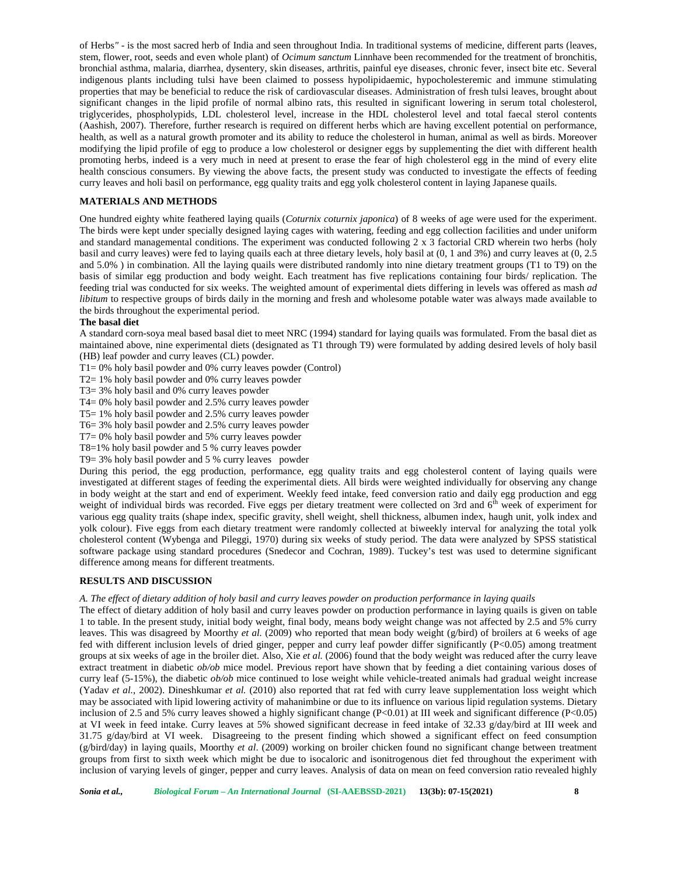of Herbs*" -*is the most sacred herb of India and seen throughout India. In traditional systems of medicine, different parts (leaves, stem, flower, root, seeds and even whole plant) of *Ocimum sanctum* Linnhave been recommended for the treatment of bronchitis, bronchial asthma, malaria, diarrhea, dysentery, skin diseases, arthritis, painful eye diseases, chronic fever, insect bite etc. Several indigenous plants including tulsi have been claimed to possess hypolipidaemic, hypocholesteremic and immune stimulating properties that may be beneficial to reduce the risk of cardiovascular diseases. Administration of fresh tulsi leaves, brought about significant changes in the lipid profile of normal albino rats, this resulted in significant lowering in serum total cholesterol, triglycerides, phospholypids, LDL cholesterol level, increase in the HDL cholesterol level and total faecal sterol contents (Aashish, 2007). Therefore, further research is required on different herbs which are having excellent potential on performance, health, as well as a natural growth promoter and its ability to reduce the cholesterol in human, animal as well as birds. Moreover modifying the lipid profile of egg to produce a low cholesterol or designer eggs by supplementing the diet with different health promoting herbs, indeed is a very much in need at present to erase the fear of high cholesterol egg in the mind of every elite health conscious consumers. By viewing the above facts, the present study was conducted to investigate the effects of feeding curry leaves and holi basil on performance, egg quality traits and egg yolk cholesterol content in laying Japanese quails.

## **MATERIALS AND METHODS**

One hundred eighty white feathered laying quails (*Coturnix coturnix japonica*) of 8 weeks of age were used for the experiment. The birds were kept under specially designed laying cages with watering, feeding and egg collection facilities and under uniform and standard managemental conditions. The experiment was conducted following 2 x 3 factorial CRD wherein two herbs (holy basil and curry leaves) were fed to laying quails each at three dietary levels, holy basil at (0, 1 and 3%) and curry leaves at (0, 2.5 and 5.0% ) in combination. All the laying quails were distributed randomly into nine dietary treatment groups (T1 to T9) on the basis of similar egg production and body weight. Each treatment has five replications containing four birds/ replication. The feeding trial was conducted for six weeks. The weighted amount of experimental diets differing in levels was offered as mash *ad libitum* to respective groups of birds daily in the morning and fresh and wholesome potable water was always made available to the birds throughout the experimental period.

#### **The basal diet**

A standard corn-soya meal based basal diet to meet NRC (1994) standard for laying quails was formulated. From the basal diet as maintained above, nine experimental diets (designated as T1 through T9) were formulated by adding desired levels of holy basil (HB) leaf powder and curry leaves (CL) powder.

 $T1 = 0\%$  holy basil powder and 0% curry leaves powder (Control)

T2= 1% holy basil powder and 0% curry leaves powder

T3= 3% holy basil and 0% curry leaves powder

T4= 0% holy basil powder and 2.5% curry leaves powder

T5= 1% holy basil powder and 2.5% curry leaves powder

T6= 3% holy basil powder and 2.5% curry leaves powder

T7= 0% holy basil powder and 5% curry leaves powder

T8=1% holy basil powder and 5 % curry leaves powder

T9= 3% holy basil powder and 5 % curry leaves powder

During this period, the egg production, performance, egg quality traits and egg cholesterol content of laying quails were investigated at different stages of feeding the experimental diets. All birds were weighted individually for observing any change in body weight at the start and end of experiment. Weekly feed intake, feed conversion ratio and daily egg production and egg weight of individual birds was recorded. Five eggs per dietary treatment were collected on 3rd and  $6<sup>th</sup>$  week of experiment for various egg quality traits (shape index, specific gravity, shell weight, shell thickness, albumen index, haugh unit, yolk index and yolk colour). Five eggs from each dietary treatment were randomly collected at biweekly interval for analyzing the total yolk cholesterol content (Wybenga and Pileggi, 1970) during six weeks of study period. The data were analyzed by SPSS statistical software package using standard procedures (Snedecor and Cochran, 1989). Tuckey's test was used to determine significant difference among means for different treatments.

#### **RESULTS AND DISCUSSION**

#### *A. The effect of dietary addition of holy basil and curry leaves powder on production performance in laying quails*

The effect of dietary addition of holy basil and curry leaves powder on production performance in laying quails is given on table 1 to table. In the present study, initial body weight, final body, means body weight change was not affected by 2.5 and 5% curry leaves. This was disagreed by Moorthy *et al.* (2009) who reported that mean body weight (g/bird) of broilers at 6 weeks of age fed with different inclusion levels of dried ginger, pepper and curry leaf powder differ significantly (P<0.05) among treatment groups at six weeks of age in the broiler diet. Also, Xie *et al.* (2006) found that the body weight was reduced after the curry leave extract treatment in diabetic *ob/ob* mice model. Previous report have shown that by feeding a diet containing various doses of curry leaf (5-15%), the diabetic *ob/ob* mice continued to lose weight while vehicle-treated animals had gradual weight increase (Yadav *et al.*, 2002). Dineshkumar *et al.* (2010) also reported that rat fed with curry leave supplementation loss weight which may be associated with lipid lowering activity of mahanimbine or due to its influence on various lipid regulation systems. Dietary inclusion of 2.5 and 5% curry leaves showed a highly significant change (P<0.01) at III week and significant difference (P<0.05) at VI week in feed intake. Curry leaves at 5% showed significant decrease in feed intake of 32.33 g/day/bird at III week and 31.75 g/day/bird at VI week. Disagreeing to the present finding which showed a significant effect on feed consumption (g/bird/day) in laying quails, Moorthy *et al*. (2009) working on broiler chicken found no significant change between treatment groups from first to sixth week which might be due to isocaloric and isonitrogenous diet fed throughout the experiment with inclusion of varying levels of ginger, pepper and curry leaves. Analysis of data on mean on feed conversion ratio revealed highly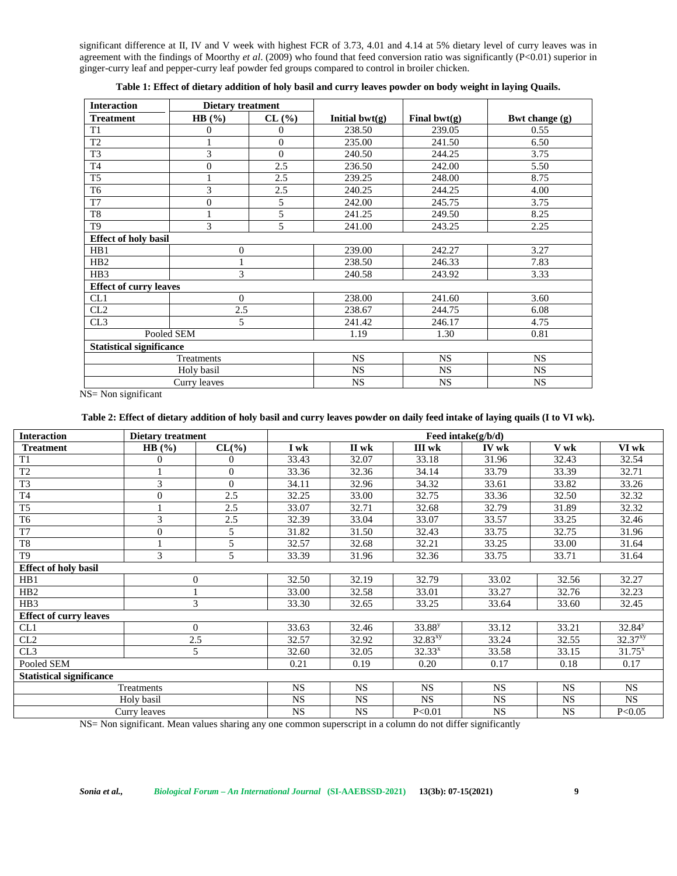significant difference at II, IV and V week with highest FCR of 3.73, 4.01 and 4.14 at 5% dietary level of curry leaves was in agreement with the findings of Moorthy *et al*. (2009) who found that feed conversion ratio was significantly (P<0.01) superior in ginger-curry leaf and pepper-curry leaf powder fed groups compared to control in broiler chicken.

| <b>Interaction</b>              | <b>Dietary treatment</b> |              |                  |                 |                  |
|---------------------------------|--------------------------|--------------|------------------|-----------------|------------------|
| <b>Treatment</b>                | HB $(%)$                 | CL (%)       | Initial $bwt(g)$ | Final bwt $(g)$ | Bwt change $(g)$ |
| T <sub>1</sub>                  | 0                        | 0            | 238.50           | 239.05          | 0.55             |
| T <sub>2</sub>                  |                          | $\mathbf{0}$ | 235.00           | 241.50          | 6.50             |
| T <sub>3</sub>                  | 3                        | $\Omega$     | 240.50           | 244.25          | 3.75             |
| T <sub>4</sub>                  | $\overline{0}$           | 2.5          | 236.50           | 242.00          | 5.50             |
| T <sub>5</sub>                  |                          | 2.5          | 239.25           | 248.00          | 8.75             |
| T <sub>6</sub>                  | 3                        | 2.5          | 240.25           | 244.25          | 4.00             |
| T7                              | $\overline{0}$           | 5            | 242.00           | 245.75          | 3.75             |
| T <sub>8</sub>                  | 1                        | 5            | 241.25           | 249.50          | 8.25             |
| T9                              | 3                        | 5            | 241.00           | 243.25          | 2.25             |
| <b>Effect of holy basil</b>     |                          |              |                  |                 |                  |
| HB1                             | $\overline{0}$           |              | 239.00           | 242.27          | 3.27             |
| HB <sub>2</sub>                 | $\mathbf{1}$             |              | 238.50           | 246.33          | 7.83             |
| HB <sub>3</sub>                 | 3                        |              | 240.58           | 243.92          | 3.33             |
| <b>Effect of curry leaves</b>   |                          |              |                  |                 |                  |
| CL1                             | $\Omega$                 |              | 238.00           | 241.60          | 3.60             |
| CL2                             | 2.5                      |              | 238.67           | 244.75          | 6.08             |
| CL3                             | 5                        |              | 241.42           | 246.17          | 4.75             |
|                                 | Pooled SEM               |              | 1.19             | 1.30            | 0.81             |
| <b>Statistical significance</b> |                          |              |                  |                 |                  |
|                                 | Treatments               |              | <b>NS</b>        | <b>NS</b>       | <b>NS</b>        |
|                                 | Holy basil               |              | <b>NS</b>        | <b>NS</b>       | <b>NS</b>        |
|                                 | Curry leaves             |              | <b>NS</b>        | NS              | NS               |

**Table 1: Effect of dietary addition of holy basil and curry leaves powder on body weight in laying Quails.**

NS= Non significant

#### **Table 2: Effect of dietary addition of holy basil and curry leaves powder on daily feed intake of laying quails (I to VI wk).**

| <b>Interaction</b>              | <b>Dietary treatment</b> |                  | Feed intake $(g/b/d)$ |           |                    |           |           |                     |  |
|---------------------------------|--------------------------|------------------|-----------------------|-----------|--------------------|-----------|-----------|---------------------|--|
| <b>Treatment</b>                | HB $(\% )$               | $CL(\%)$         | I wk                  | II wk     | III wk             | IV wk     | V wk      | VI wk               |  |
| T1                              | $\overline{0}$           | $\boldsymbol{0}$ | 33.43                 | 32.07     | 33.18              | 31.96     | 32.43     | 32.54               |  |
| T <sub>2</sub>                  |                          | $\overline{0}$   | 33.36                 | 32.36     | 34.14              | 33.79     | 33.39     | 32.71               |  |
| $\overline{T3}$                 | 3                        | $\overline{0}$   | 34.11                 | 32.96     | 34.32              | 33.61     | 33.82     | 33.26               |  |
| T <sub>4</sub>                  | $\overline{0}$           | 2.5              | 32.25                 | 33.00     | 32.75              | 33.36     | 32.50     | 32.32               |  |
| T <sub>5</sub>                  |                          | 2.5              | 33.07                 | 32.71     | 32.68              | 32.79     | 31.89     | 32.32               |  |
| T <sub>6</sub>                  | 3                        | 2.5              | 32.39                 | 33.04     | 33.07              | 33.57     | 33.25     | 32.46               |  |
| T7                              | $\overline{0}$           | 5                | 31.82                 | 31.50     | 32.43              | 33.75     | 32.75     | 31.96               |  |
| T <sub>8</sub>                  |                          | 5                | 32.57                 | 32.68     | 32.21              | 33.25     | 33.00     | 31.64               |  |
| T <sub>9</sub>                  | 3                        | 5                | 33.39                 | 31.96     | 32.36              | 33.75     | 33.71     | 31.64               |  |
| <b>Effect of holy basil</b>     |                          |                  |                       |           |                    |           |           |                     |  |
| HB1                             | $\Omega$                 |                  | 32.50                 | 32.19     | 32.79              | 33.02     | 32.56     | 32.27               |  |
| H <sub>B2</sub>                 |                          |                  | 33.00                 | 32.58     | 33.01              | 33.27     | 32.76     | 32.23               |  |
| HB <sub>3</sub>                 | 3                        |                  | 33.30                 | 32.65     | 33.25              | 33.64     | 33.60     | 32.45               |  |
| <b>Effect of curry leaves</b>   |                          |                  |                       |           |                    |           |           |                     |  |
| CL1                             | $\overline{0}$           |                  | 33.63                 | 32.46     | 33.88 <sup>y</sup> | 33.12     | 33.21     | 32.84 <sup>y</sup>  |  |
| CL2                             | 2.5                      |                  | 32.57                 | 32.92     | $32.83^{xy}$       | 33.24     | 32.55     | 32.37 <sup>xy</sup> |  |
| CL3                             | 5                        |                  | 32.60                 | 32.05     | $32.33^{x}$        | 33.58     | 33.15     | $31.75^{x}$         |  |
| Pooled SEM                      |                          |                  | 0.21                  | 0.19      | 0.20               | 0.17      | 0.18      | 0.17                |  |
| <b>Statistical significance</b> |                          |                  |                       |           |                    |           |           |                     |  |
|                                 | Treatments               |                  | <b>NS</b>             | <b>NS</b> | <b>NS</b>          | <b>NS</b> | <b>NS</b> | <b>NS</b>           |  |
|                                 | Holy basil               |                  | <b>NS</b>             | <b>NS</b> | <b>NS</b>          | <b>NS</b> | <b>NS</b> | <b>NS</b>           |  |
|                                 | Curry leaves             |                  | NS                    | <b>NS</b> | P < 0.01           | <b>NS</b> | NS        | P<0.05              |  |

NS= Non significant. Mean values sharing any one common superscript in a column do not differ significantly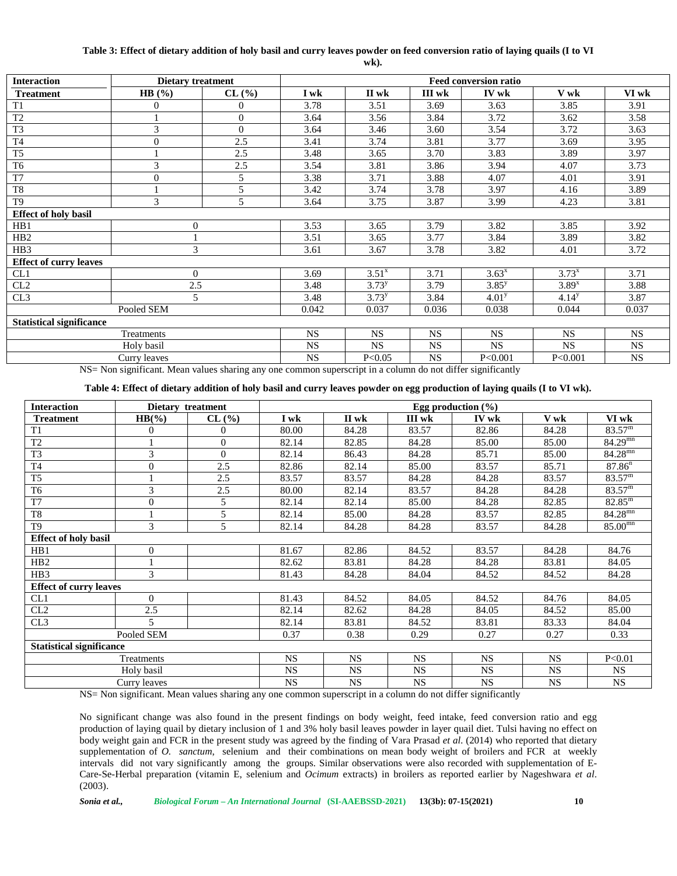## **Table 3: Effect of dietary addition of holy basil and curry leaves powder on feed conversion ratio of laying quails (I to VI**

**wk).**

| <b>Interaction</b>              | <b>Dietary treatment</b> |                |           |            |           | <b>Feed conversion ratio</b> |            |           |
|---------------------------------|--------------------------|----------------|-----------|------------|-----------|------------------------------|------------|-----------|
| <b>Treatment</b>                | HB $(%)$                 | CL(%)          | I wk      | II wk      | III wk    | IV wk                        | V wk       | VI wk     |
| T1                              | 0                        | $\Omega$       | 3.78      | 3.51       | 3.69      | 3.63                         | 3.85       | 3.91      |
| T <sub>2</sub>                  |                          | $\Omega$       | 3.64      | 3.56       | 3.84      | 3.72                         | 3.62       | 3.58      |
| T <sub>3</sub>                  | 3                        | $\overline{0}$ | 3.64      | 3.46       | 3.60      | 3.54                         | 3.72       | 3.63      |
| T <sub>4</sub>                  | $\overline{0}$           | 2.5            | 3.41      | 3.74       | 3.81      | 3.77                         | 3.69       | 3.95      |
| T <sub>5</sub>                  |                          | 2.5            | 3.48      | 3.65       | 3.70      | 3.83                         | 3.89       | 3.97      |
| T <sub>6</sub>                  | 3                        | 2.5            | 3.54      | 3.81       | 3.86      | 3.94                         | 4.07       | 3.73      |
| $\overline{T7}$                 | $\overline{0}$           | 5              | 3.38      | 3.71       | 3.88      | 4.07                         | 4.01       | 3.91      |
| T <sub>8</sub>                  |                          | 5              | 3.42      | 3.74       | 3.78      | 3.97                         | 4.16       | 3.89      |
| T <sub>9</sub>                  | 3                        | 5              | 3.64      | 3.75       | 3.87      | 3.99                         | 4.23       | 3.81      |
| <b>Effect of holy basil</b>     |                          |                |           |            |           |                              |            |           |
| HB1                             | $\overline{0}$           |                | 3.53      | 3.65       | 3.79      | 3.82                         | 3.85       | 3.92      |
| HB <sub>2</sub>                 |                          |                | 3.51      | 3.65       | 3.77      | 3.84                         | 3.89       | 3.82      |
| HB3                             | 3                        |                | 3.61      | 3.67       | 3.78      | 3.82                         | 4.01       | 3.72      |
| <b>Effect of curry leaves</b>   |                          |                |           |            |           |                              |            |           |
| CL1                             | $\Omega$                 |                | 3.69      | $3.51^{x}$ | 3.71      | $3.63^{x}$                   | $3.73^{x}$ | 3.71      |
| CL2                             | 2.5                      |                | 3.48      | $3.73^{y}$ | 3.79      | $3.85^{y}$                   | $3.89^{x}$ | 3.88      |
| CL3                             | 5                        |                | 3.48      | $3.73^{y}$ | 3.84      | 4.01 <sup>y</sup>            | $4.14^{y}$ | 3.87      |
|                                 | Pooled SEM               |                | 0.042     | 0.037      | 0.036     | 0.038                        | 0.044      | 0.037     |
| <b>Statistical significance</b> |                          |                |           |            |           |                              |            |           |
|                                 | Treatments               |                | <b>NS</b> | <b>NS</b>  | <b>NS</b> | <b>NS</b>                    | <b>NS</b>  | <b>NS</b> |
|                                 | Holy basil               |                | <b>NS</b> | <b>NS</b>  | <b>NS</b> | <b>NS</b>                    | <b>NS</b>  | <b>NS</b> |
|                                 | Curry leaves             |                | <b>NS</b> | P<0.05     | <b>NS</b> | P<0.001                      | P<0.001    | <b>NS</b> |

NS= Non significant. Mean values sharing any one common superscript in a column do not differ significantly

#### **Table 4: Effect of dietary addition of holy basil and curry leaves powder on egg production of laying quails (I to VI wk).**

| <b>Interaction</b>              |                | Dietary treatment |           |           |           | Egg production $(\% )$ |           |                       |
|---------------------------------|----------------|-------------------|-----------|-----------|-----------|------------------------|-----------|-----------------------|
| <b>Treatment</b>                | $HB(\%)$       | CL (%)            | I wk      | II wk     | III wk    | IV wk                  | V wk      | VI wk                 |
| T1                              | 0              | $\theta$          | 80.00     | 84.28     | 83.57     | 82.86                  | 84.28     | $83.57^{\rm m}$       |
| T <sub>2</sub>                  |                | $\theta$          | 82.14     | 82.85     | 84.28     | 85.00                  | 85.00     | $84.29^{mn}$          |
| T <sub>3</sub>                  | 3              | $\Omega$          | 82.14     | 86.43     | 84.28     | 85.71                  | 85.00     | $84.28$ <sup>mn</sup> |
| T <sub>4</sub>                  | $\Omega$       | 2.5               | 82.86     | 82.14     | 85.00     | 83.57                  | 85.71     | 87.86 <sup>n</sup>    |
| T <sub>5</sub>                  |                | 2.5               | 83.57     | 83.57     | 84.28     | 84.28                  | 83.57     | $83.57^{\rm m}$       |
| T <sub>6</sub>                  | 3              | 2.5               | 80.00     | 82.14     | 83.57     | 84.28                  | 84.28     | $83.57^{\rm m}$       |
| T <sub>7</sub>                  | $\overline{0}$ | 5                 | 82.14     | 82.14     | 85.00     | 84.28                  | 82.85     | $82.85^{\rm m}$       |
| T <sub>8</sub>                  |                | 5                 | 82.14     | 85.00     | 84.28     | 83.57                  | 82.85     | $84.28^{mn}$          |
| T <sub>9</sub>                  | 3              | 5                 | 82.14     | 84.28     | 84.28     | 83.57                  | 84.28     | 85.00 <sup>mn</sup>   |
| <b>Effect of holy basil</b>     |                |                   |           |           |           |                        |           |                       |
| HB1                             | $\theta$       |                   | 81.67     | 82.86     | 84.52     | 83.57                  | 84.28     | 84.76                 |
| HB2                             |                |                   | 82.62     | 83.81     | 84.28     | 84.28                  | 83.81     | 84.05                 |
| H <sub>B</sub> 3                | 3              |                   | 81.43     | 84.28     | 84.04     | 84.52                  | 84.52     | 84.28                 |
| <b>Effect of curry leaves</b>   |                |                   |           |           |           |                        |           |                       |
| CL1                             | $\Omega$       |                   | 81.43     | 84.52     | 84.05     | 84.52                  | 84.76     | 84.05                 |
| CL2                             | 2.5            |                   | 82.14     | 82.62     | 84.28     | 84.05                  | 84.52     | 85.00                 |
| CL3                             | 5              |                   | 82.14     | 83.81     | 84.52     | 83.81                  | 83.33     | 84.04                 |
|                                 | Pooled SEM     |                   | 0.37      | 0.38      | 0.29      | 0.27                   | 0.27      | 0.33                  |
| <b>Statistical significance</b> |                |                   |           |           |           |                        |           |                       |
|                                 | Treatments     |                   | <b>NS</b> | <b>NS</b> | <b>NS</b> | <b>NS</b>              | <b>NS</b> | P<0.01                |
|                                 | Holy basil     |                   | NS.       | <b>NS</b> | <b>NS</b> | <b>NS</b>              | <b>NS</b> | <b>NS</b>             |
|                                 | Curry leaves   |                   | <b>NS</b> | <b>NS</b> | <b>NS</b> | <b>NS</b>              | <b>NS</b> | NS                    |

NS= Non significant. Mean values sharing any one common superscript in a column do not differ significantly

No significant change was also found in the present findings on body weight, feed intake, feed conversion ratio and egg production of laying quail by dietary inclusion of 1 and 3% holy basil leaves powder in layer quail diet. Tulsi having no effect on body weight gain and FCR in the present study was agreed by the finding of Vara Prasad *et al.* (2014) who reported that dietary supplementation of *O. sanctum*, selenium and their combinations on mean body weight of broilers and FCR at weekly intervals did not vary significantly among the groups. Similar observations were also recorded with supplementation of E- Care-Se-Herbal preparation (vitamin E, selenium and *Ocimum* extracts) in broilers as reported earlier by Nageshwara *et al*. (2003).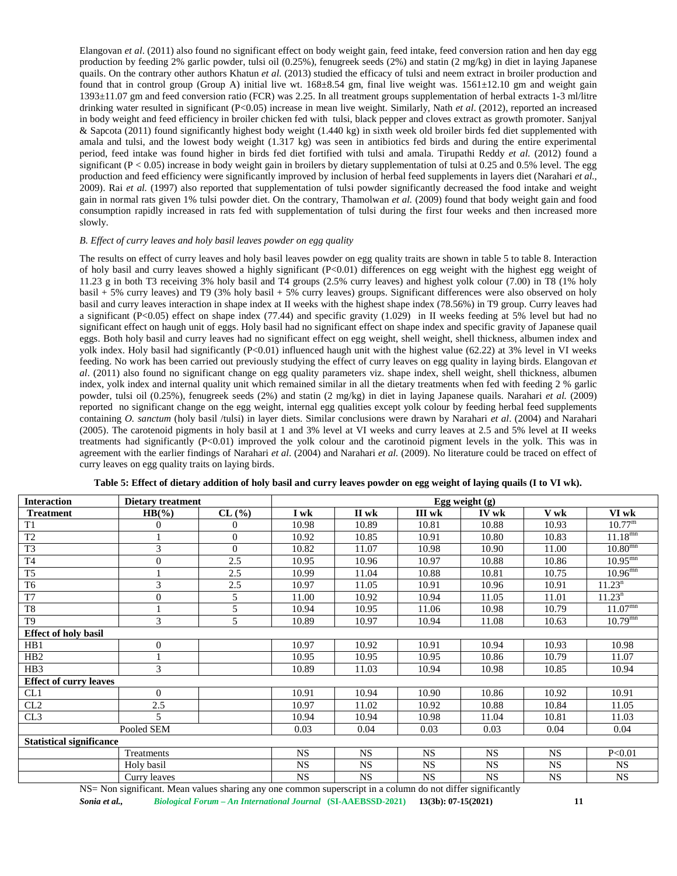Elangovan *et al*. (2011) also found no significant effect on body weight gain, feed intake, feed conversion ration and hen day egg production by feeding 2% garlic powder, tulsi oil (0.25%), fenugreek seeds (2%) and statin (2 mg/kg) in diet in laying Japanese quails. On the contrary other authors Khatun *et al.* (2013) studied the efficacy of tulsi and neem extract in broiler production and found that in control group (Group A) initial live wt. 168±8.54 gm, final live weight was. 1561±12.10 gm and weight gain 1393±11.07 gm and feed conversion ratio (FCR) was 2.25. In all treatment groups supplementation of herbal extracts 1-3 ml/litre drinking water resulted in significant (P<0.05) increase in mean live weight. Similarly, Nath *et al*. (2012), reported an increased in body weight and feed efficiency in broiler chicken fed with tulsi, black pepper and cloves extract as growth promoter. Sanjyal & Sapcota (2011) found significantly highest body weight (1.440 kg) in sixth week old broiler birds fed diet supplemented with amala and tulsi, and the lowest body weight (1.317 kg) was seen in antibiotics fed birds and during the entire experimental period, feed intake was found higher in birds fed diet fortified with tulsi and amala. Tirupathi Reddy *et al.* (2012) found a significant ( $P < 0.05$ ) increase in body weight gain in broilers by dietary supplementation of tulsi at 0.25 and 0.5% level. The egg production and feed efficiency were significantly improved by inclusion of herbal feed supplements in layers diet (Narahari *et al.*, 2009). Rai *et al.* (1997) also reported that supplementation of tulsi powder significantly decreased the food intake and weight gain in normal rats given 1% tulsi powder diet. On the contrary, Thamolwan *et al.* (2009) found that body weight gain and food consumption rapidly increased in rats fed with supplementation of tulsi during the first four weeks and then increased more slowly.

#### *B. Effect of curry leaves and holy basil leaves powder on egg quality*

The results on effect of curry leaves and holy basil leaves powder on egg quality traits are shown in table 5 to table 8. Interaction of holy basil and curry leaves showed a highly significant (P<0.01) differences on egg weight with the highest egg weight of 11.23 g in both T3 receiving 3% holy basil and T4 groups (2.5% curry leaves) and highest yolk colour (7.00) in T8 (1% holy basil + 5% curry leaves) and T9 (3% holy basil + 5% curry leaves) groups. Significant differences were also observed on holy basil and curry leaves interaction in shape index at II weeks with the highest shape index (78.56%) in T9 group. Curry leaves had a significant (P<0.05) effect on shape index (77.44) and specific gravity (1.029) in II weeks feeding at 5% level but had no significant effect on haugh unit of eggs. Holy basil had no significant effect on shape index and specific gravity of Japanese quail eggs. Both holy basil and curry leaves had no significant effect on egg weight, shell weight, shell thickness, albumen index and yolk index. Holy basil had significantly  $(P<0.01)$  influenced haugh unit with the highest value (62.22) at 3% level in VI weeks feeding. No work has been carried out previously studying the effect of curry leaves on egg quality in laying birds. Elangovan *et al*. (2011) also found no significant change on egg quality parameters viz. shape index, shell weight, shell thickness, albumen index, yolk index and internal quality unit which remained similar in all the dietary treatments when fed with feeding 2 % garlic powder, tulsi oil (0.25%), fenugreek seeds (2%) and statin (2 mg/kg) in diet in laying Japanese quails. Narahari *et al.* (2009) reported no significant change on the egg weight, internal egg qualities except yolk colour by feeding herbal feed supplements containing *O. sanctum* (holy basil /tulsi) in layer diets. Similar conclusions were drawn by Narahari *et al*. (2004) and Narahari (2005). The carotenoid pigments in holy basil at 1 and 3% level at VI weeks and curry leaves at 2.5 and 5% level at II weeks treatments had significantly (P<0.01) improved the yolk colour and the carotinoid pigment levels in the yolk. This was in agreement with the earlier findings of Narahari *et al*. (2004) and Narahari *et al.* (2009). No literature could be traced on effect of curry leaves on egg quality traits on laying birds.

| <b>Interaction</b>              | Dietary treatment |              |           | Egg weight $(g)$ |           |           |           |                       |  |  |
|---------------------------------|-------------------|--------------|-----------|------------------|-----------|-----------|-----------|-----------------------|--|--|
| <b>Treatment</b>                | $HB(\%)$          | CL(%)        | I wk      | II wk            | III wk    | IV wk     | V wk      | VI wk                 |  |  |
| T1                              | 0                 | $\Omega$     | 10.98     | 10.89            | 10.81     | 10.88     | 10.93     | $10.77^{\rm m}$       |  |  |
| T <sub>2</sub>                  |                   | $\mathbf{0}$ | 10.92     | 10.85            | 10.91     | 10.80     | 10.83     | $11.18^{mn}$          |  |  |
| T <sub>3</sub>                  | 3                 | $\mathbf{0}$ | 10.82     | 11.07            | 10.98     | 10.90     | 11.00     | $10.80^{\text{mn}}$   |  |  |
| T <sub>4</sub>                  | $\Omega$          | 2.5          | 10.95     | 10.96            | 10.97     | 10.88     | 10.86     | $10.95^{mn}$          |  |  |
| T <sub>5</sub>                  |                   | 2.5          | 10.99     | 11.04            | 10.88     | 10.81     | 10.75     | $10.96^{mn}$          |  |  |
| T <sub>6</sub>                  | 3                 | 2.5          | 10.97     | 11.05            | 10.91     | 10.96     | 10.91     | 11.23 <sup>n</sup>    |  |  |
| T7                              | $\Omega$          | 5            | 11.00     | 10.92            | 10.94     | 11.05     | 11.01     | 11.23 <sup>n</sup>    |  |  |
| T <sub>8</sub>                  |                   | 5            | 10.94     | 10.95            | 11.06     | 10.98     | 10.79     | $11.07^{mn}$          |  |  |
| T <sub>9</sub>                  | 3                 | 5            | 10.89     | 10.97            | 10.94     | 11.08     | 10.63     | $10.79$ <sup>mm</sup> |  |  |
| <b>Effect of holy basil</b>     |                   |              |           |                  |           |           |           |                       |  |  |
| HB1                             | $\Omega$          |              | 10.97     | 10.92            | 10.91     | 10.94     | 10.93     | 10.98                 |  |  |
| H <sub>B2</sub>                 |                   |              | 10.95     | 10.95            | 10.95     | 10.86     | 10.79     | 11.07                 |  |  |
| H <sub>B</sub> 3                | 3                 |              | 10.89     | 11.03            | 10.94     | 10.98     | 10.85     | 10.94                 |  |  |
| <b>Effect of curry leaves</b>   |                   |              |           |                  |           |           |           |                       |  |  |
| CL1                             | $\Omega$          |              | 10.91     | 10.94            | 10.90     | 10.86     | 10.92     | 10.91                 |  |  |
| CL2                             | 2.5               |              | 10.97     | 11.02            | 10.92     | 10.88     | 10.84     | 11.05                 |  |  |
| CL3                             | 5                 |              | 10.94     | 10.94            | 10.98     | 11.04     | 10.81     | 11.03                 |  |  |
|                                 | Pooled SEM        |              | 0.03      | 0.04             | 0.03      | 0.03      | 0.04      | 0.04                  |  |  |
| <b>Statistical significance</b> |                   |              |           |                  |           |           |           |                       |  |  |
|                                 | Treatments        |              | <b>NS</b> | <b>NS</b>        | <b>NS</b> | <b>NS</b> | <b>NS</b> | P<0.01                |  |  |
|                                 | Holy basil        |              | <b>NS</b> | <b>NS</b>        | <b>NS</b> | <b>NS</b> | <b>NS</b> | <b>NS</b>             |  |  |
|                                 | Curry leaves      |              | <b>NS</b> | NS               | NS        | NS        | <b>NS</b> | <b>NS</b>             |  |  |

**Table 5: Effect of dietary addition of holy basil and curry leaves powder on egg weight of laying quails (I to VI wk).**

NS= Non significant. Mean values sharing any one common superscript in a column do not differ significantly

*Sonia et al., Biological Forum – An International Journal* **(SI-AAEBSSD-2021) 13(3b): 07-15(2021) 11**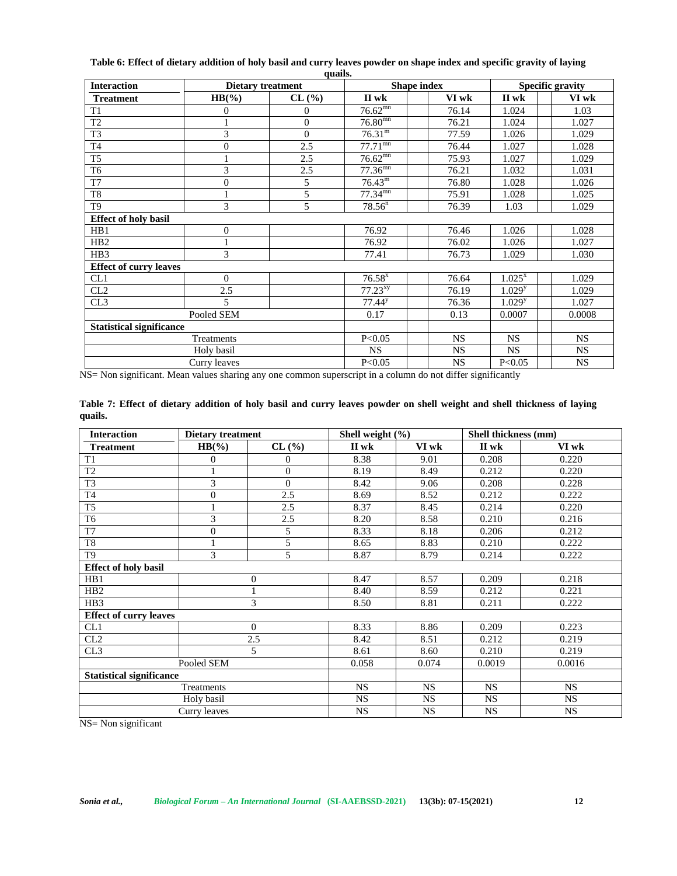| <b>Interaction</b>              |                | <b>Dietary treatment</b> |                      | Shape index | <b>Specific gravity</b> |           |  |
|---------------------------------|----------------|--------------------------|----------------------|-------------|-------------------------|-----------|--|
| <b>Treatment</b>                | $HB(\%)$       | $CL$ $(\% )$             | II wk                | VI wk       | II wk                   | VI wk     |  |
| T <sub>1</sub>                  | $\theta$       | $\theta$                 | $76.62^{mn}$         | 76.14       | 1.024                   | 1.03      |  |
| T <sub>2</sub>                  |                | $\boldsymbol{0}$         | $76.80^{mn}$         | 76.21       | 1.024                   | 1.027     |  |
| T <sub>3</sub>                  | 3              | $\overline{0}$           | $76.31^{\rm m}$      | 77.59       | 1.026                   | 1.029     |  |
| $\operatorname{T4}$             | $\overline{0}$ | 2.5                      | $77.71^{mn}$         | 76.44       | 1.027                   | 1.028     |  |
| T <sub>5</sub>                  |                | 2.5                      | $76.62^{mn}$         | 75.93       | 1.027                   | 1.029     |  |
| T <sub>6</sub>                  | 3              | 2.5                      | $77.36^{mn}$         | 76.21       | 1.032                   | 1.031     |  |
| $\overline{T7}$                 | $\theta$       | 5                        | $76.43^{\rm m}$      | 76.80       | 1.028                   | 1.026     |  |
| $\rm{T}8$                       |                | 5                        | $77.34^{mn}$         | 75.91       | 1.028                   | 1.025     |  |
| T <sub>9</sub>                  | 3              | 5                        | $78.56^{n}$          | 76.39       | 1.03                    | 1.029     |  |
| <b>Effect of holy basil</b>     |                |                          |                      |             |                         |           |  |
| HB1                             | $\mathbf{0}$   |                          | 76.92                | 76.46       | 1.026                   | 1.028     |  |
| H <sub>B2</sub>                 |                |                          | 76.92                | 76.02       | 1.026                   | 1.027     |  |
| HB <sub>3</sub>                 | 3              |                          | 77.41                | 76.73       | 1.029                   | 1.030     |  |
| <b>Effect of curry leaves</b>   |                |                          |                      |             |                         |           |  |
| CL1                             | $\Omega$       |                          | $76.58$ <sup>x</sup> | 76.64       | $1.025^{x}$             | 1.029     |  |
| CL2                             | 2.5            |                          | 77.23 <sup>xy</sup>  | 76.19       | 1.029 <sup>y</sup>      | 1.029     |  |
| CL3                             | 5              |                          | $77.44^{\circ}$      | 76.36       | 1.029 <sup>y</sup>      | 1.027     |  |
|                                 | Pooled SEM     |                          | 0.17                 | 0.13        | 0.0007                  | 0.0008    |  |
| <b>Statistical significance</b> |                |                          |                      |             |                         |           |  |
|                                 | Treatments     |                          | P<0.05               | NS          | $_{\rm NS}$             | <b>NS</b> |  |
|                                 | Holy basil     |                          | <b>NS</b>            | <b>NS</b>   | $_{\rm NS}$             | <b>NS</b> |  |
|                                 | Curry leaves   |                          | P<0.05               | NS          | P<0.05                  | NS        |  |

**Table 6: Effect of dietary addition of holy basil and curry leaves powder on shape index and specific gravity of laying quails.**

NS= Non significant. Mean values sharing any one common superscript in a column do not differ significantly

| Table 7: Effect of dietary addition of holy basil and curry leaves powder on shell weight and shell thickness of laying |  |  |  |
|-------------------------------------------------------------------------------------------------------------------------|--|--|--|
| quails.                                                                                                                 |  |  |  |

| <b>Interaction</b>              | <b>Dietary treatment</b> |                  | Shell weight (%) |           | Shell thickness (mm) |           |
|---------------------------------|--------------------------|------------------|------------------|-----------|----------------------|-----------|
| <b>Treatment</b>                | $HB(\%)$                 | CL (%)           | II wk            | VI wk     | II wk                | VI wk     |
| T <sub>1</sub>                  | $\mathbf{0}$             | $\Omega$         | 8.38             | 9.01      | 0.208                | 0.220     |
| $\overline{T2}$                 |                          | $\boldsymbol{0}$ | 8.19             | 8.49      | 0.212                | 0.220     |
| T <sub>3</sub>                  | 3                        | $\Omega$         | 8.42             | 9.06      | 0.208                | 0.228     |
| T <sub>4</sub>                  | $\boldsymbol{0}$         | 2.5              | 8.69             | 8.52      | 0.212                | 0.222     |
| T <sub>5</sub>                  | 1                        | 2.5              | 8.37             | 8.45      | 0.214                | 0.220     |
| T <sub>6</sub>                  | 3                        | 2.5              | 8.20             | 8.58      | 0.210                | 0.216     |
| T7                              | $\boldsymbol{0}$         | 5                | 8.33             | 8.18      | 0.206                | 0.212     |
| T8                              | 1                        | 5                | 8.65             | 8.83      | 0.210                | 0.222     |
| T <sub>9</sub>                  | 3                        | 5                | 8.87             | 8.79      | 0.214                | 0.222     |
| <b>Effect of holy basil</b>     |                          |                  |                  |           |                      |           |
| HB1                             |                          | 0                | 8.47             | 8.57      | 0.209                | 0.218     |
| HB2                             |                          |                  | 8.40             | 8.59      | 0.212                | 0.221     |
| HB <sub>3</sub>                 |                          | 3                | 8.50             | 8.81      | 0.211                | 0.222     |
| <b>Effect of curry leaves</b>   |                          |                  |                  |           |                      |           |
| CL1                             |                          | $\overline{0}$   | 8.33             | 8.86      | 0.209                | 0.223     |
| CL2                             |                          | 2.5              | 8.42             | 8.51      | 0.212                | 0.219     |
| CL3                             |                          | 5                | 8.61             | 8.60      | 0.210                | 0.219     |
|                                 | Pooled SEM               |                  | 0.058            | 0.074     | 0.0019               | 0.0016    |
| <b>Statistical significance</b> |                          |                  |                  |           |                      |           |
|                                 | Treatments               |                  | <b>NS</b>        | <b>NS</b> | <b>NS</b>            | <b>NS</b> |
|                                 | Holy basil               |                  | <b>NS</b>        | <b>NS</b> | <b>NS</b>            | <b>NS</b> |
|                                 | Curry leaves             |                  | <b>NS</b>        | NS        | NS                   | NS        |

NS= Non significant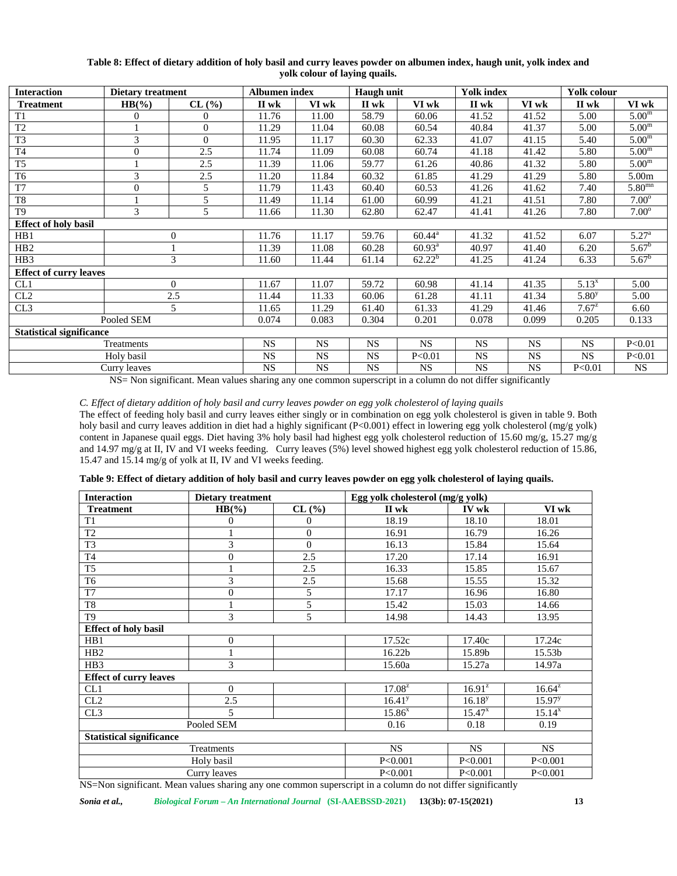| <b>Interaction</b>              | <b>Dietary treatment</b> |                | <b>Albumen</b> index |           | Haugh unit |                    | <b>Yolk index</b> |           | Yolk colour       |                   |
|---------------------------------|--------------------------|----------------|----------------------|-----------|------------|--------------------|-------------------|-----------|-------------------|-------------------|
| <b>Treatment</b>                | $HB(\%)$                 | CL(%)          | II wk                | VI wk     | II wk      | VI wk              | II wk             | VI wk     | II wk             | VI wk             |
| T <sub>1</sub>                  | $\overline{0}$           | 0              | 11.76                | 11.00     | 58.79      | 60.06              | 41.52             | 41.52     | 5.00              | 5.00 <sup>m</sup> |
| T <sub>2</sub>                  |                          | $\overline{0}$ | 11.29                | 11.04     | 60.08      | 60.54              | 40.84             | 41.37     | 5.00              | 5.00 <sup>m</sup> |
| T <sub>3</sub>                  | 3                        | $\Omega$       | 11.95                | 11.17     | 60.30      | 62.33              | 41.07             | 41.15     | 5.40              | 5.00 <sup>m</sup> |
| T <sub>4</sub>                  | $\mathbf{0}$             | 2.5            | 11.74                | 11.09     | 60.08      | 60.74              | 41.18             | 41.42     | 5.80              | 5.00 <sup>m</sup> |
| T <sub>5</sub>                  |                          | 2.5            | 11.39                | 11.06     | 59.77      | 61.26              | 40.86             | 41.32     | 5.80              | 5.00 <sup>m</sup> |
| T <sub>6</sub>                  | 3                        | 2.5            | 11.20                | 11.84     | 60.32      | 61.85              | 41.29             | 41.29     | 5.80              | 5.00m             |
| T <sub>7</sub>                  | $\mathbf{0}$             | 5              | 11.79                | 11.43     | 60.40      | 60.53              | 41.26             | 41.62     | 7.40              | $5.80^{mn}$       |
| T <sub>8</sub>                  |                          | 5              | 11.49                | 11.14     | 61.00      | 60.99              | 41.21             | 41.51     | 7.80              | $7.00^\circ$      |
| T <sub>9</sub>                  | 3                        | 5              | 11.66                | 11.30     | 62.80      | 62.47              | 41.41             | 41.26     | 7.80              | $7.00^\circ$      |
| <b>Effect of holy basil</b>     |                          |                |                      |           |            |                    |                   |           |                   |                   |
| HB1                             |                          | $\overline{0}$ | 11.76                | 11.17     | 59.76      | $60.44^{\text{a}}$ | 41.32             | 41.52     | 6.07              | $5.27^{a}$        |
| H <sub>B2</sub>                 |                          |                | 11.39                | 11.08     | 60.28      | $60.93^a$          | 40.97             | 41.40     | 6.20              | $5.67^b$          |
| HB3                             |                          | 3              | 11.60                | 11.44     | 61.14      | $62.22^b$          | 41.25             | 41.24     | 6.33              | $5.67^b$          |
| <b>Effect of curry leaves</b>   |                          |                |                      |           |            |                    |                   |           |                   |                   |
| CL1                             |                          | $\Omega$       | 11.67                | 11.07     | 59.72      | 60.98              | 41.14             | 41.35     | $5.13^{x}$        | 5.00              |
| CL2                             |                          | 2.5            | 11.44                | 11.33     | 60.06      | 61.28              | 41.11             | 41.34     | 5.80 <sup>y</sup> | 5.00              |
| CL3                             |                          | 5              | 11.65                | 11.29     | 61.40      | 61.33              | 41.29             | 41.46     | $7.67^{z}$        | 6.60              |
|                                 | Pooled SEM               |                | 0.074                | 0.083     | 0.304      | 0.201              | 0.078             | 0.099     | 0.205             | 0.133             |
| <b>Statistical significance</b> |                          |                |                      |           |            |                    |                   |           |                   |                   |
|                                 | Treatments               |                | <b>NS</b>            | <b>NS</b> | <b>NS</b>  | <b>NS</b>          | <b>NS</b>         | <b>NS</b> | <b>NS</b>         | P<0.01            |
|                                 | Holy basil               |                | <b>NS</b>            | <b>NS</b> | <b>NS</b>  | P<0.01             | <b>NS</b>         | <b>NS</b> | <b>NS</b>         | P<0.01            |
|                                 | Curry leaves             |                | <b>NS</b>            | <b>NS</b> | <b>NS</b>  | <b>NS</b>          | <b>NS</b>         | <b>NS</b> | P < 0.01          | <b>NS</b>         |

## **Table 8: Effect of dietary addition of holy basil and curry leaves powder on albumen index, haugh unit, yolk index and yolk colour of laying quails.**

NS= Non significant. Mean values sharing any one common superscript in a column do not differ significantly

*C. Effect of dietary addition of holy basil and curry leaves powder on egg yolk cholesterol of laying quails*

The effect of feeding holy basil and curry leaves either singly or in combination on egg yolk cholesterol is given in table 9. Both holy basil and curry leaves addition in diet had a highly significant (P<0.001) effect in lowering egg yolk cholesterol (mg/g yolk) content in Japanese quail eggs. Diet having 3% holy basil had highest egg yolk cholesterol reduction of 15.60 mg/g, 15.27 mg/g and 14.97 mg/g at II, IV and VI weeks feeding. Curry leaves (5%) level showed highest egg yolk cholesterol reduction of 15.86, 15.47 and 15.14 mg/g of yolk at II, IV and VI weeks feeding.

| Table 9: Effect of dietary addition of holy basil and curry leaves powder on egg yolk cholesterol of laying quails. |  |  |  |
|---------------------------------------------------------------------------------------------------------------------|--|--|--|
|                                                                                                                     |  |  |  |

| <b>Interaction</b>              | Dietary treatment |                |                    | Egg yolk cholesterol (mg/g yolk) |             |  |  |  |
|---------------------------------|-------------------|----------------|--------------------|----------------------------------|-------------|--|--|--|
| <b>Treatment</b>                | $HB(\%)$          | CL(%)          | II wk              | IV wk                            | VI wk       |  |  |  |
| T <sub>1</sub>                  | $\theta$          | $\overline{0}$ | 18.19              | 18.10                            | 18.01       |  |  |  |
| T <sub>2</sub>                  |                   | $\overline{0}$ | 16.91              | 16.79                            | 16.26       |  |  |  |
| T <sub>3</sub>                  | 3                 | $\theta$       | 16.13              | 15.84                            | 15.64       |  |  |  |
| T <sub>4</sub>                  | $\overline{0}$    | 2.5            | 17.20              | 17.14                            | 16.91       |  |  |  |
| T <sub>5</sub>                  |                   | 2.5            | 16.33              | 15.85                            | 15.67       |  |  |  |
| T <sub>6</sub>                  | 3                 | 2.5            | 15.68              | 15.55                            | 15.32       |  |  |  |
| T7                              | $\overline{0}$    | 5              | 17.17              | 16.96                            | 16.80       |  |  |  |
| T <sub>8</sub>                  |                   | 5              | 15.42              | 15.03                            | 14.66       |  |  |  |
| T <sub>9</sub>                  | 3                 | 5              | 14.98              | 14.43                            | 13.95       |  |  |  |
| <b>Effect of holy basil</b>     |                   |                |                    |                                  |             |  |  |  |
| HB1                             | $\overline{0}$    |                | 17.52c             | 17.40c                           | 17.24c      |  |  |  |
| H <sub>B2</sub>                 |                   |                | 16.22b             | 15.89b                           | 15.53b      |  |  |  |
| HB <sub>3</sub>                 | 3                 |                | 15.60a             | 15.27a                           | 14.97a      |  |  |  |
| <b>Effect of curry leaves</b>   |                   |                |                    |                                  |             |  |  |  |
| CL1                             | $\Omega$          |                | $17.08^{z}$        | $16.91^{z}$                      | $16.64^{z}$ |  |  |  |
| CL2                             | 2.5               |                | 16.41 <sup>y</sup> | $16.18^{y}$                      | $15.97^{y}$ |  |  |  |
| CL3                             | 5                 |                | $15.86^{x}$        | $15.47^{x}$                      | $15.14^{x}$ |  |  |  |
|                                 | Pooled SEM        |                | 0.16               | 0.18                             | 0.19        |  |  |  |
| <b>Statistical significance</b> |                   |                |                    |                                  |             |  |  |  |
|                                 | Treatments        |                | <b>NS</b>          | <b>NS</b>                        | <b>NS</b>   |  |  |  |
|                                 | Holy basil        |                | P < 0.001          | P<0.001                          | P<0.001     |  |  |  |
|                                 | Curry leaves      |                | P<0.001            | P<0.001                          | P<0.001     |  |  |  |

NS=Non significant. Mean values sharing any one common superscript in a column do not differ significantly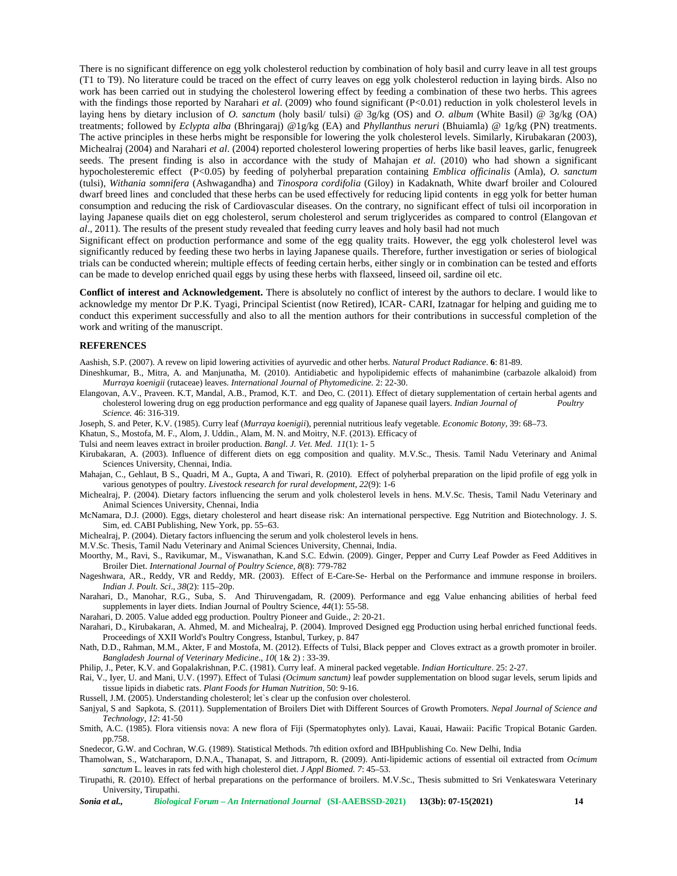There is no significant difference on egg yolk cholesterol reduction by combination of holy basil and curry leave in all test groups (T1 to T9). No literature could be traced on the effect of curry leaves on egg yolk cholesterol reduction in laying birds. Also no work has been carried out in studying the cholesterol lowering effect by feeding a combination of these two herbs. This agrees with the findings those reported by Narahari *et al.* (2009) who found significant (P<0.01) reduction in yolk cholesterol levels in laying hens by dietary inclusion of *O. sanctum* (holy basil/ tulsi) @ 3g/kg (OS) and *O. album* (White Basil) @ 3g/kg (OA) treatments; followed by *Eclypta alba* (Bhringaraj) @1g/kg (EA) and *Phyllanthus neruri* (Bhuiamla) @ 1g/kg (PN) treatments. The active principles in these herbs might be responsible for lowering the yolk cholesterol levels. Similarly, Kirubakaran (2003), Michealraj (2004) and Narahari *et al*. (2004) reported cholesterol lowering properties of herbs like basil leaves, garlic, fenugreek seeds. The present finding is also in accordance with the study of Mahajan *et al*. (2010) who had shown a significant hypocholesteremic effect (P<0.05) by feeding of polyherbal preparation containing *Emblica officinalis* (Amla), *O. sanctum* (tulsi), *Withania somnifera* (Ashwagandha) and *Tinospora cordifolia* (Giloy) in Kadaknath, White dwarf broiler and Coloured dwarf breed lines and concluded that these herbs can be used effectively for reducing lipid contents in egg yolk for better human consumption and reducing the risk of Cardiovascular diseases. On the contrary, no significant effect of tulsi oil incorporation in laying Japanese quails diet on egg cholesterol, serum cholesterol and serum triglycerides as compared to control (Elangovan *et al*., 2011). The results of the present study revealed that feeding curry leaves and holy basil had not much

Significant effect on production performance and some of the egg quality traits. However, the egg yolk cholesterol level was significantly reduced by feeding these two herbs in laying Japanese quails. Therefore, further investigation or series of biological trials can be conducted wherein; multiple effects of feeding certain herbs, either singly or in combination can be tested and efforts can be made to develop enriched quail eggs by using these herbs with flaxseed, linseed oil, sardine oil etc.

**Conflict of interest and Acknowledgement.** There is absolutely no conflict of interest by the authors to declare. I would like to acknowledge my mentor Dr P.K. Tyagi, Principal Scientist (now Retired), ICAR- CARI, Izatnagar for helping and guiding me to conduct this experiment successfully and also to all the mention authors for their contributions in successful completion of the work and writing of the manuscript.

#### **REFERENCES**

Aashish, S.P. (2007). A revew on lipid lowering activities of ayurvedic and other herbs. *Natural Product Radiance*. **6**: 81-89.

Dineshkumar, B., Mitra, A. and Manjunatha, M. (2010). Antidiabetic and hypolipidemic effects of mahanimbine (carbazole alkaloid) from *Murraya koenigii* (rutaceae) leaves. *International Journal of Phytomedicine.* 2: 22-30.

Elangovan, A.V., Praveen. K.T, Mandal, A.B., Pramod, K.T. and Deo, C. (2011). Effect of dietary supplementation of certain herbal agents and cholesterol lowering drug on egg production performance and egg quality of Japanese quail layers. *Indian Journal of Poultry Science.* 46: 316-319.

Joseph, S. and Peter, K.V. (1985). Curry leaf (*Murraya koenigii*), perennial nutritious leafy vegetable. *Economic Botony*, 39: 68–73.

Khatun, S., Mostofa, M. F., Alom, J. Uddin., Alam, M. N. and Moitry, N.F. (2013). Efficacy of

Tulsi and neem leaves extract in broiler production. *Bangl. J. Vet. Med*. *11*(1): 1- 5

Kirubakaran, A. (2003). Influence of different diets on egg composition and quality. M.V.Sc., Thesis. Tamil Nadu Veterinary and Animal Sciences University, Chennai, India.

Mahajan, C., Gehlaut, B S., Quadri, M A., Gupta, A and Tiwari, R. (2010). Effect of polyherbal preparation on the lipid profile of egg yolk in various genotypes of poultry. *Livestock research for rural development*, *22*(9): 1-6

- Michealraj, P. (2004). Dietary factors influencing the serum and yolk cholesterol levels in hens. M.V.Sc. Thesis, Tamil Nadu Veterinary and Animal Sciences University, Chennai, India
- McNamara, D.J. (2000). Eggs, dietary cholesterol and heart disease risk: An international perspective. Egg Nutrition and Biotechnology. J. S. Sim, ed. CABI Publishing, New York, pp. 55–63.

Michealraj, P. (2004). Dietary factors influencing the serum and yolk cholesterol levels in hens.

M.V.Sc. Thesis, Tamil Nadu Veterinary and Animal Sciences University, Chennai, India.

- Moorthy, M., Ravi, S., Ravikumar, M., Viswanathan, K.and S.C. Edwin. (2009). Ginger, Pepper and Curry Leaf Powder as Feed Additives in Broiler Diet. *International Journal of Poultry Science*, *8*(8): 779-782
- Nageshwara, AR., Reddy, VR and Reddy, MR. (2003). Effect of E-Care-Se- Herbal on the Performance and immune response in broilers. *Indian J. Poult. Sci*., *38*(2): 115–20p.
- Narahari, D., Manohar, R.G., Suba, S. And Thiruvengadam, R. (2009). Performance and egg Value enhancing abilities of herbal feed supplements in layer diets. Indian Journal of Poultry Science, *44*(1): 55-58.

Narahari, D. 2005. Value added egg production. Poultry Pioneer and Guide., *2*: 20-21.

- Narahari, D., Kirubakaran, A. Ahmed, M. and Michealraj, P. (2004). Improved Designed egg Production using herbal enriched functional feeds. Proceedings of XXII World's Poultry Congress, Istanbul, Turkey, p. 847
- Nath, D.D., Rahman, M.M., Akter, F and Mostofa, M. (2012). Effects of Tulsi, Black pepper and Cloves extract as a growth promoter in broiler. *Bangladesh Journal of Veterinary Medicine*., *10*( 1& 2) : 33-39.

Philip, J., Peter, K.V. and Gopalakrishnan, P.C. (1981). Curry leaf. A mineral packed vegetable. *Indian Horticulture*. 25: 2-27.

Rai, V., Iyer, U. and Mani, U.V. (1997). Effect of Tulasi *(Ocimum sanctum)* leaf powder supplementation on blood sugar levels, serum lipids and tissue lipids in diabetic rats. *Plant Foods for Human Nutrition,* 50: 9-16.

Russell, J.M. (2005). Understanding cholesterol; let`s clear up the confusion over cholesterol.

- Sanjyal, S and Sapkota, S. (2011). Supplementation of Broilers Diet with Different Sources of Growth Promoters. *Nepal Journal of Science and Technology*, *12*: 41-50
- Smith, A.C. (1985). Flora vitiensis nova: A new flora of Fiji (Spermatophytes only). Lavai, Kauai, Hawaii: Pacific Tropical Botanic Garden. pp.758.
- Snedecor, G.W. and Cochran, W.G. (1989). Statistical Methods. 7th edition oxford and IBHpublishing Co. New Delhi, India
- Thamolwan, S., Watcharaporn, D.N.A., Thanapat, S. and Jittraporn, R. (2009). Anti-lipidemic actions of essential oil extracted from *Ocimum sanctum* L. leaves in rats fed with high cholesterol diet. *J Appl Biomed. 7*: 45–53.
- Tirupathi, R. (2010). Effect of herbal preparations on the performance of broilers. M.V.Sc., Thesis submitted to Sri Venkateswara Veterinary University, Tirupathi.

*Sonia et al., Biological Forum – An International Journal* **(SI-AAEBSSD-2021) 13(3b): 07-15(2021) 14**